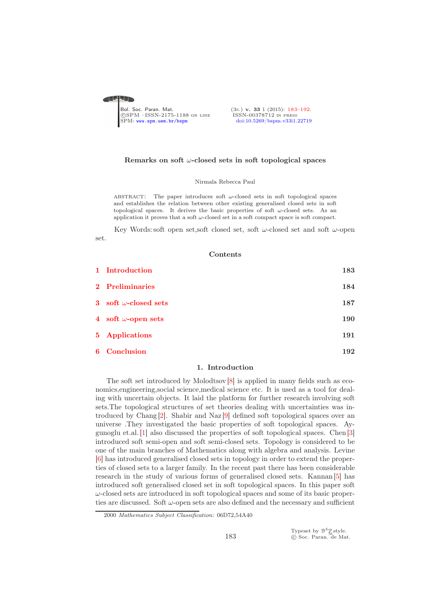<span id="page-0-0"></span>

# Remarks on soft  $\omega$ -closed sets in soft topological spaces

# Nirmala Rebecca Paul

ABSTRACT: The paper introduces soft  $\omega$ -closed sets in soft topological spaces and establishes the relation between other existing generalised closed sets in soft topological spaces. It derives the basic properties of soft  $\omega$ -closed sets. As an application it proves that a soft  $\omega$ -closed set in a soft compact space is soft compact.

Key Words: soft open set, soft closed set, soft  $\omega$ -closed set and soft  $\omega$ -open set.

#### Contents

| 1 Introduction               | $183\,$ |
|------------------------------|---------|
| 2 Preliminaries              | 184     |
| 3 soft $\omega$ -closed sets | 187     |
| 4 soft $\omega$ -open sets   | 190     |
| 5 Applications               | 191     |
| 6 Conclusion                 | 192     |

## 1. Introduction

<span id="page-0-1"></span>The soft set introduced by Molodtsov [\[8\]](#page-9-2) is applied in many fields such as economics,engineering,social science,medical science etc. It is used as a tool for dealing with uncertain objects. It laid the platform for further research involving soft sets.The topological structures of set theories dealing with uncertainties was introduced by Chang [\[2\]](#page-9-3). Shabir and Naz [\[9\]](#page-9-4) defined soft topological spaces over an universe .They investigated the basic properties of soft topological spaces. Aygunoglu et.al. [\[1\]](#page-9-5) also discussed the properties of soft topological spaces. Chen [\[3\]](#page-9-6) introduced soft semi-open and soft semi-closed sets. Topology is considered to be one of the main branches of Mathematics along with algebra and analysis. Levine [\[6\]](#page-9-7) has introduced generalised closed sets in topology in order to extend the properties of closed sets to a larger family. In the recent past there has been considerable research in the study of various forms of generalised closed sets. Kannan [\[5\]](#page-9-8) has introduced soft generalised closed set in soft topological spaces. In this paper soft  $\omega$ -closed sets are introduced in soft topological spaces and some of its basic properties are discussed. Soft  $\omega$ -open sets are also defined and the necessary and sufficient

Typeset by  $\mathcal{B}^{\mathcal{S}}_{\mathcal{M}}^{\mathcal{S}}$ style.<br>© Soc. Paran. de Mat.

<sup>2000</sup> *Mathematics Subject Classification:* 06D72,54A40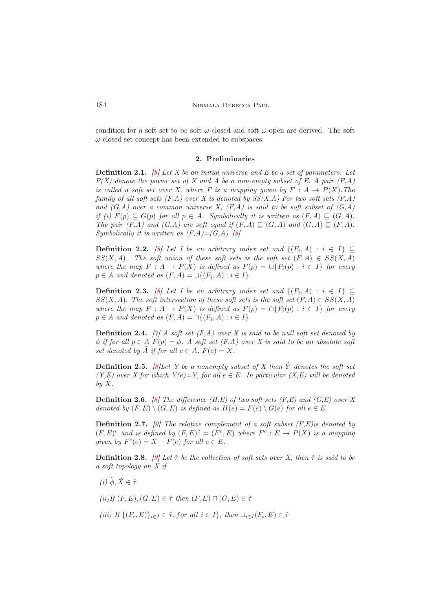<span id="page-1-0"></span>condition for a soft set to be soft  $\omega$ -closed and soft  $\omega$ -open are derived. The soft  $\omega$ -closed set concept has been extended to subspaces.

## 2. Preliminaries

**Definition 2.1.** [\[8\]](#page-9-2) Let X be an initial universe and E be a set of parameters. Let  $P(X)$  denote the power set of X and A be a non-empty subset of E. A pair  $(F, A)$ is called a soft set over X, where F is a mapping given by  $F : A \rightarrow P(X)$ . The family of all soft sets  $(F,A)$  over X is denoted by  $SS(X,A)$  For two soft sets  $(F,A)$ and  $(G, A)$  over a common universe X,  $(F, A)$  is said to be soft subset of  $(G, A)$ if (i)  $F(p) \subseteq G(p)$  for all  $p \in A$ . Symbolically it is written as  $(F, A) \sqsubseteq (G, A)$ . The pair  $(F,A)$  and  $(G,A)$  are soft equal if  $(F,A) \sqsubseteq (G,A)$  and  $(G,A) \sqsubseteq (F,A)$ . Symbolically it is written as  $(F,A)=(G,A)$  [\[8\]](#page-9-2)

**Definition 2.2.** [\[8\]](#page-9-2) Let I be an arbitrary index set and  $\{(F_i, A) : i \in I\} \subseteq$  $SS(X, A)$ . The soft union of these soft sets is the soft set  $(F, A) \in SS(X, A)$ where the map  $F : A \to P(X)$  is defined as  $F(p) = \bigcup \{F_i(p) : i \in I\}$  for every  $p \in A$  and denoted as  $(F, A) = \sqcup \{(F_i, A) : i \in I\}.$ 

**Definition 2.3.** [\[8\]](#page-9-2) Let I be an arbitrary index set and  $\{(F_i, A) : i \in I\} \subseteq$  $SS(X, A)$ . The soft intersection of these soft sets is the soft set  $(F, A) \in SS(X, A)$ where the map  $F : A \to P(X)$  is defined as  $F(p) = \bigcap \{F_i(p) : i \in I\}$  for every  $p \in A$  and denoted as  $(F, A) = \bigcap \{ (F_i, A) : i \in I \}$ 

**Definition 2.4.** [\[7\]](#page-9-9) A soft set  $(F,A)$  over X is said to be null soft set denoted by  $\phi$  if for all  $p \in A$   $F(p) = \phi$ . A soft set  $(F, A)$  over X is said to be an absolute soft set denoted by  $\tilde{A}$  if for all  $e \in A$ ,  $F(e) = X$ .

**Definition 2.5.** [\[8\]](#page-9-2) Let Y be a nonempty subset of X then  $\tilde{Y}$  denotes the soft set  $(Y, E)$  over X for which  $Y(e) = Y$ , for all  $e \in E$ . In particular  $(X, E)$  will be denoted by  $\ddot{X}$ .

**Definition 2.6.** [\[8\]](#page-9-2) The difference  $(H, E)$  of two soft sets  $(F, E)$  and  $(G, E)$  over X denoted by  $(F, E) \setminus (G, E)$  is defined as  $H(e) = F(e) \setminus G(e)$  for all  $e \in E$ .

**Definition 2.7.** [\[9\]](#page-9-4) The relative complement of a soft subset  $(F,E)$  is denoted by  $(F, E)^c$  and is defined by  $(F, E)^c = (F^c, E)$  where  $F^c : E \to P(X)$  is a mapping given by  $F^c(e) = X - F(e)$  for all  $e \in E$ .

**Definition 2.8.** [\[9\]](#page-9-4) Let  $\tilde{\tau}$  be the collection of soft sets over X, then  $\tilde{\tau}$  is said to be a soft topology on X if

- (i)  $\tilde{\phi}$ ,  $\tilde{X} \in \tilde{\tau}$
- (ii)If  $(F, E), (G, E) \in \tilde{\tau}$  then  $(F, E) \sqcap (G, E) \in \tilde{\tau}$
- (iii) If  $\{(F_i, E)\}_{i \in I} \in \tilde{\tau}$ , for all  $i \in I\}$ , then  $\sqcup_{i \in I} (F_i, E) \in \tilde{\tau}$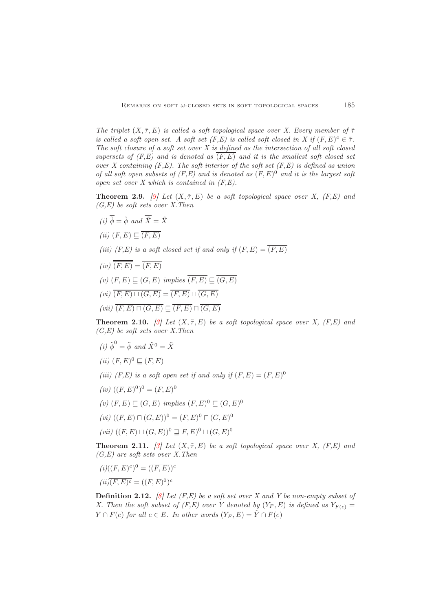The triplet  $(X, \tilde{\tau}, E)$  is called a soft topological space over X. Every member of  $\tilde{\tau}$ is called a soft open set. A soft set  $(F, E)$  is called soft closed in X if  $(F, E)^c \in \tilde{\tau}$ . The soft closure of a soft set over  $X$  is defined as the intersection of all soft closed supersets of  $(F, E)$  and is denoted as  $(F, E)$  and it is the smallest soft closed set over X containing  $(F, E)$ . The soft interior of the soft set  $(F, E)$  is defined as union of all soft open subsets of  $(F, E)$  and is denoted as  $(F, E)^0$  and it is the largest soft open set over  $X$  which is contained in  $(F, E)$ .

**Theorem 2.9.** [\[9\]](#page-9-4) Let  $(X, \tilde{\tau}, E)$  be a soft topological space over X,  $(F, E)$  and  $(G,E)$  be soft sets over X. Then

- (i)  $\overline{\phi} = \tilde{\phi}$  and  $\overline{\tilde{X}} = \tilde{X}$
- (ii)  $(F, E) \sqsubset \overline{(F, E)}$
- (iii) (F,E) is a soft closed set if and only if  $(F, E) = \overline{(F, E)}$
- $(iv)$   $\overline{\overline{(F,E)}} = \overline{(F,E)}$ (v)  $(F, E) \sqsubseteq (G, E)$  implies  $\overline{(F, E)} \sqsubseteq \overline{(G, E)}$  $(vi)$   $\overline{(F,E) \sqcup (G,E)} = \overline{(F,E) \sqcup (G,E)}$

 $(vii)$   $\overline{(F,E) \sqcap (G,E)} \sqsubset \overline{(F,E)} \sqcap \overline{(G,E)}$ 

**Theorem 2.10.** [\[3\]](#page-9-6) Let  $(X, \tilde{\tau}, E)$  be a soft topological space over X,  $(F, E)$  and  $(G, E)$  be soft sets over X. Then

- (i)  $\tilde{\phi}^0 = \tilde{\phi}$  and  $\tilde{X}^0 = \tilde{X}$
- (*ii*)  $(F, E)^0 \subseteq (F, E)$
- (iii) (F,E) is a soft open set if and only if  $(F, E) = (F, E)^0$
- $(iv) ((F, E)^0)^0 = (F, E)^0$
- $(v)$   $(F, E) ⊆ (G, E)$  implies  $(F, E)^0 ⊆ (G, E)^0$
- $(vi) ((F, E) \sqcap (G, E))^0 = (F, E)^0 \sqcap (G, E)^0$
- $(vii) ((F, E) ∪ (G, E))$ <sup>0</sup>  $\supseteq F, E$ )<sup>0</sup>  $\sqcup (G, E)$ <sup>0</sup>

**Theorem 2.11.** [\[3\]](#page-9-6) Let  $(X, \tilde{\tau}, E)$  be a soft topological space over X,  $(F, E)$  and  $(G, E)$  are soft sets over X. Then

$$
(i)((F,E)^c)^0 = (\overline{(F,E)})^c
$$

$$
(ii)\overline{(F,E)^c} = ((F,E)^0)^c
$$

**Definition 2.12.** [\[8\]](#page-9-2) Let  $(F, E)$  be a soft set over X and Y be non-empty subset of X. Then the soft subset of (F,E) over Y denoted by  $(Y_F, E)$  is defined as  $Y_{F(e)} =$  $Y \cap F(e)$  for all  $e \in E$ . In other words  $(Y_F, E) = \tilde{Y} \cap F(e)$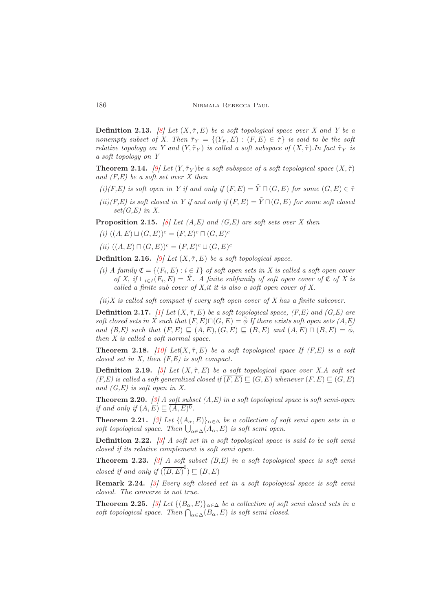**Definition 2.13.** [\[8\]](#page-9-2) Let  $(X, \tilde{\tau}, E)$  be a soft topological space over X and Y be a nonempty subset of X. Then  $\tilde{\tau}_Y = \{(Y_F, E) : (F, E) \in \tilde{\tau}\}\$ is said to be the soft relative topology on Y and  $(Y, \tilde{\tau}_Y)$  is called a soft subspace of  $(X, \tilde{\tau})$ . In fact  $\tilde{\tau}_Y$  is a soft topology on Y

**Theorem 2.14.** [\[9\]](#page-9-4) Let  $(Y, \tilde{\tau}_Y)$  be a soft subspace of a soft topological space  $(X, \tilde{\tau})$ and  $(F, E)$  be a soft set over X then

- (i)(F,E) is soft open in Y if and only if  $(F, E) = \tilde{Y} \sqcap (G, E)$  for some  $(G, E) \in \tilde{\tau}$
- $(ii)(F, E)$  is soft closed in Y if and only if  $(F, E) = \tilde{Y} \sqcap (G, E)$  for some soft closed  $set(G,E)$  in X.

**Proposition 2.15.** [\[8\]](#page-9-2) Let  $(A, E)$  and  $(G, E)$  are soft sets over X then

- (i)  $((A, E) \sqcup (G, E))^c = (F, E)^c \sqcap (G, E)^c$
- (ii)  $((A, E) \sqcap (G, E))^c = (F, E)^c \sqcup (G, E)^c$

**Definition 2.16.** [\[9\]](#page-9-4) Let  $(X, \tilde{\tau}, E)$  be a soft topological space.

(i) A family  $\mathfrak{C} = \{(F_i, E) : i \in I\}$  of soft open sets in X is called a soft open cover of X, if  $\Box_{i\in I}(F_i,E)=\tilde{X}$ . A finite subfamily of soft open cover of  $\mathfrak C$  of X is called a finite sub cover of  $X$ , it it is also a soft open cover of  $X$ .

 $(ii)$ X is called soft compact if every soft open cover of X has a finite subcover.

**Definition 2.17.** [\[1\]](#page-9-5) Let  $(X, \tilde{\tau}, E)$  be a soft topological space,  $(F, E)$  and  $(G, E)$  are soft closed sets in X such that  $(F, E) \sqcap (G, E) = \phi$  If there exists soft open sets  $(A, E)$ and  $(B, E)$  such that  $(F, E) \sqsubseteq (A, E), (G, E) \sqsubseteq (B, E)$  and  $(A, E) \sqcap (B, E) = \phi$ , then X is called a soft normal space.

**Theorem 2.18.** [\[10\]](#page-9-10) Let(X,  $\tilde{\tau}$ , E) be a soft topological space If (F, E) is a soft closed set in  $X$ , then  $(F, E)$  is soft compact.

**Definition 2.19.** [\[5\]](#page-9-8) Let  $(X, \tilde{\tau}, E)$  be a soft topological space over X.A soft set  $(F, E)$  is called a soft generalized closed if  $\overline{(F, E)} \sqsubseteq (G, E)$  whenever  $(F, E) \sqsubseteq (G, E)$ and  $(G, E)$  is soft open in X.

**Theorem 2.20.** [\[3\]](#page-9-6) A soft subset  $(A, E)$  in a soft topological space is soft semi-open if and only if  $(A, E) \sqsubseteq (A, E)^0$ .

**Theorem 2.21.** [\[3\]](#page-9-6) Let  $\{(A_{\alpha}, E)\}_{{\alpha \in \Delta}}$  be a collection of soft semi open sets in a soft topological space. Then  $\bigcup_{\alpha \in \Delta}(A_{\alpha}, E)$  is soft semi open.

**Definition 2.22.** [\[3\]](#page-9-6) A soft set in a soft topological space is said to be soft semi closed if its relative complement is soft semi open.

**Theorem 2.23.** [\[3\]](#page-9-6) A soft subset  $(B, E)$  in a soft topological space is soft semi closed if and only if  $(\overline{(B, E)}^0) \sqsubseteq (B, E)$ 

Remark 2.24. [\[3\]](#page-9-6) Every soft closed set in a soft topological space is soft semi closed. The converse is not true.

**Theorem 2.25.** [\[3\]](#page-9-6) Let  $\{(B_{\alpha}, E)\}_{\alpha \in \Delta}$  be a collection of soft semi closed sets in a soft topological space. Then  $\bigcap_{\alpha \in \Delta} (B_{\alpha}, E)$  is soft semi closed.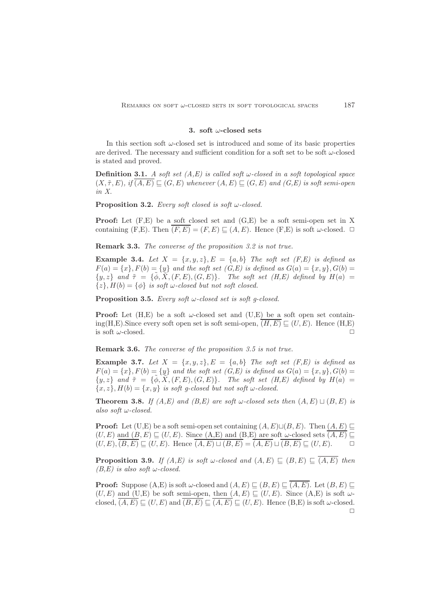# 3. soft  $\omega$ -closed sets

<span id="page-4-0"></span>In this section soft  $\omega$ -closed set is introduced and some of its basic properties are derived. The necessary and sufficient condition for a soft set to be soft  $\omega$ -closed is stated and proved.

**Definition 3.1.** A soft set  $(A, E)$  is called soft w-closed in a soft topological space  $(X, \tilde{\tau}, E), \text{ if } (A, E) \sqsubseteq (G, E) \text{ whenever } (A, E) \sqsubseteq (G, E) \text{ and } (G, E) \text{ is soft semi-open}$ in X.

**Proposition 3.2.** Every soft closed is soft  $\omega$ -closed.

Proof: Let (F,E) be a soft closed set and (G,E) be a soft semi-open set in X containing (F,E). Then  $\overline{(F,E)} = (F, E) \sqsubset (A, E)$ . Hence (F,E) is soft  $\omega$ -closed.  $\Box$ 

Remark 3.3. The converse of the proposition 3.2 is not true.

**Example 3.4.** Let  $X = \{x, y, z\}$ ,  $E = \{a, b\}$  The soft set  $(F, E)$  is defined as  $F(a) = \{x\}, F(b) = \{y\}$  and the soft set  $(G, E)$  is defined as  $G(a) = \{x, y\}, G(b) =$  $\{y, z\}$  and  $\tilde{\tau} = \{\tilde{\phi}, \tilde{X}, (F, E), (G, E)\}.$  The soft set  $(H, E)$  defined by  $H(a) =$  $\{z\}, H(b) = \{\phi\}$  is soft w-closed but not soft closed.

**Proposition 3.5.** Every soft  $\omega$ -closed set is soft q-closed.

**Proof:** Let  $(H,E)$  be a soft  $\omega$ -closed set and  $(U,E)$  be a soft open set containing(H,E). Since every soft open set is soft semi-open,  $(H, E) \sqsubseteq (U, E)$ . Hence  $(H, E)$ is soft  $\omega$ -closed.  $\Box$ 

Remark 3.6. The converse of the proposition 3.5 is not true.

**Example 3.7.** Let  $X = \{x, y, z\}$ ,  $E = \{a, b\}$  The soft set  $(F, E)$  is defined as  $F(a) = \{x\}, F(b) = \{y\}$  and the soft set  $(G, E)$  is defined as  $G(a) = \{x, y\}, G(b) =$  $\{y, z\}$  and  $\tilde{\tau} = \{\tilde{\phi}, \tilde{X}, (F, E), (G, E)\}.$  The soft set  $(H, E)$  defined by  $H(a) =$  ${x, z}$ ,  $H(b) = {x, y}$  is soft g-closed but not soft w-closed.

**Theorem 3.8.** If  $(A, E)$  and  $(B, E)$  are soft  $\omega$ -closed sets then  $(A, E) \sqcup (B, E)$  is also soft ω-closed.

**Proof:** Let (U,E) be a soft semi-open set containing  $(A, E) \sqcup (B, E)$ . Then  $(A, E) \sqsubseteq$  $(U, E)$  and  $(B, E) \sqsubset (U, E)$ . Since  $(A, E)$  and  $(B, E)$  are soft  $\omega$ -closed sets  $\overline{(A, E)} \sqsubset$  $(U, E), (B, E) \sqsubset (U, E)$ . Hence  $(A, E) \sqcup (B, E) = (A, E) \sqcup (B, E) \sqsubset (U, E)$ .

**Proposition 3.9.** If  $(A, E)$  is soft w-closed and  $(A, E) \subseteq (B, E) \subseteq (A, E)$  then  $(B,E)$  is also soft w-closed.

**Proof:** Suppose  $(A, E)$  is soft  $\omega$ -closed and  $(A, E) \sqsubset (B, E) \sqsubset (A, E)$ . Let  $(B, E) \sqsubset$  $(U, E)$  and  $(U, E)$  be soft semi-open, then  $(A, E) \sqsubseteq (U, E)$ . Since  $(A, E)$  is soft  $\omega$ closed,  $\overline{(A, E)} \sqsubseteq (U, E)$  and  $\overline{(B, E)} \sqsubseteq \overline{(A, E)} \sqsubseteq (U, E)$ . Hence  $(B, E)$  is soft  $\omega$ -closed.  $\Box$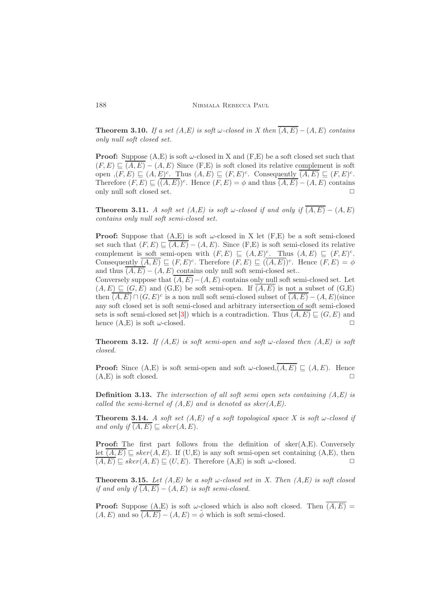**Theorem 3.10.** If a set  $(A, E)$  is soft w-closed in X then  $\overline{(A, E)} - (A, E)$  contains only null soft closed set.

**Proof:** Suppose  $(A, E)$  is soft  $\omega$ -closed in X and  $(F, E)$  be a soft closed set such that  $(F, E) \sqsubset \overline{(A, E)} - (A, E)$  Since  $(F, E)$  is soft closed its relative complement is soft open  $(G, E) \subseteq (A, E)^c$ . Thus  $(A, E) \subseteq (F, E)^c$ . Consequently  $\overline{(A, E)} \subseteq (F, E)^c$ . Therefore  $(F, E) \sqsubseteq (\overline{(A, E)})^c$ . Hence  $(F, E) = \phi$  and thus  $\overline{(A, E)} - (A, E)$  contains only null soft closed set.  $\Box$ 

**Theorem 3.11.** A soft set  $(A, E)$  is soft w-closed if and only if  $\overline{(A, E)} - (A, E)$ contains only null soft semi-closed set.

**Proof:** Suppose that  $(A, E)$  is soft  $\omega$ -closed in X let  $(F, E)$  be a soft semi-closed set such that  $(F, E) \sqsubseteq (A, E) - (A, E)$ . Since  $(F, E)$  is soft semi-closed its relative complement is soft semi-open with  $(F, E) \subseteq (A, E)^c$ . Thus  $(A, E) \subseteq (F, E)^c$ . Consequently  $\overline{(A, E)} \sqsubseteq (F, E)^c$ . Therefore  $(F, E) \sqsubseteq (\overline{(A, E)})^c$ . Hence  $(F, E) = \phi$ and thus  $(A, E) - (A, E)$  contains only null soft semi-closed set..

Conversely suppose that  $\overline{(A, E)} - (A, E)$  contains only null soft semi-closed set. Let  $(A, E) \sqsubset (G, E)$  and  $(G, E)$  be soft semi-open. If  $(A, E)$  is not a subset of  $(G, E)$ then  $\overline{(A, E)} \sqcap (G, E)^c$  is a non null soft semi-closed subset of  $\overline{(A, E)} - (A, E)$ (since any soft closed set is soft semi-closed and arbitrary intersection of soft semi-closed sets is soft semi-closed set [\[3\]](#page-9-6)) which is a contradiction. Thus  $\overline{(A, E)} \sqsubseteq (G, E)$  and hence  $(A, E)$  is soft  $\omega$ -closed.

**Theorem 3.12.** If  $(A, E)$  is soft semi-open and soft w-closed then  $(A, E)$  is soft closed.

**Proof:** Since  $(A, E)$  is soft semi-open and soft  $\omega$ -closed, $\overline{(A, E)} \subseteq (A, E)$ . Hence  $(A, E)$  is soft closed.  $\square$ 

**Definition 3.13.** The intersection of all soft semi open sets containing  $(A, E)$  is called the semi-kernel of  $(A, E)$  and is denoted as sker $(A, E)$ .

**Theorem 3.14.** A soft set  $(A,E)$  of a soft topological space X is soft w-closed if and only if  $\overline{(A, E)} \sqsubset sker(A, E)$ .

**Proof:** The first part follows from the definition of  $\text{sker}(A,E)$ . Conversely let  $(A, E) \sqsubset sker(A, E)$ . If (U,E) is any soft semi-open set containing (A,E), then  $\overline{(A, E)} \sqsubseteq sker(A, E) \sqsubseteq (U, E)$ . Therefore  $(A, E)$  is soft  $\omega$ -closed.  $\Box$ 

**Theorem 3.15.** Let  $(A, E)$  be a soft  $\omega$ -closed set in X. Then  $(A, E)$  is soft closed if and only if  $\overline{(A, E)} - (A, E)$  is soft semi-closed.

**Proof:** Suppose  $(A, E)$  is soft  $\omega$ -closed which is also soft closed. Then  $\overline{(A, E)}$  =  $(A, E)$  and so  $\overline{(A, E)} - (A, E) = \tilde{\phi}$  which is soft semi-closed.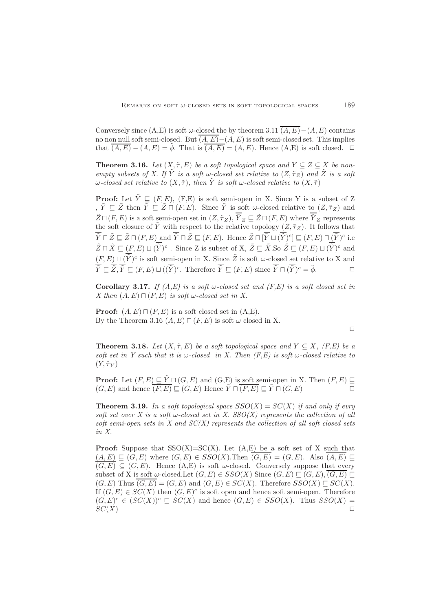Conversely since (A,E) is soft  $\omega$ -closed the by theorem 3.11  $\overline{(A, E)} - (A, E)$  contains no non null soft semi-closed. But  $\overline{(A, E)}$  – $(A, E)$  is soft semi-closed set. This implies that  $\overline{(A, E)} - (A, E) = \tilde{\phi}$ . That is  $\overline{(A, E)} = (A, E)$ . Hence  $(A, E)$  is soft closed.  $\Box$ 

**Theorem 3.16.** Let  $(X, \tilde{\tau}, E)$  be a soft topological space and  $Y \subseteq Z \subseteq X$  be nonempty subsets of X. If  $\tilde{Y}$  is a soft w-closed set relative to  $(Z, \tilde{\tau}_Z)$  and  $\tilde{Z}$  is a soft ω-closed set relative to  $(X, \tilde{\tau})$ , then  $\tilde{Y}$  is soft ω-closed relative to  $(X, \tilde{\tau})$ 

**Proof:** Let  $\tilde{Y} \sqsubseteq (F, E)$ ,  $(F, E)$  is soft semi-open in X. Since Y is a subset of Z ,  $\tilde{Y} \sqsubseteq \tilde{Z}$  then  $\overline{\tilde{Y}} \subseteq \tilde{Z} \cap (F, E)$ . Since  $\tilde{Y}$  is soft  $\omega$ -closed relative to  $(Z, \tilde{\tau}_Z)$  and  $\tilde{Z} \sqcap (F, E)$  is a soft semi-open set in  $(Z, \tilde{\tau}_Z), \tilde{Y}_Z \sqsubseteq \tilde{Z} \sqcap (F, E)$  where  $\tilde{Y}_Z$  represents the soft closure of  $\tilde{Y}$  with respect to the relative topology  $(Z, \tilde{\tau}_Z)$ . It follows that  $\overline{\tilde{Y}} \sqcap \tilde{Z} \sqsubseteq \tilde{Z} \sqcap (F, E)$  and  $\overline{\tilde{Y}} \sqcap \tilde{Z} \sqsubseteq (F, E)$ . Hence  $\tilde{Z} \sqcap [\overline{\tilde{Y}} \sqcup (\overline{\tilde{Y}})^c] \sqsubseteq (F, E) \sqcap (\overline{\tilde{Y}})^c$  i.e  $\tilde{Z} \sqcap \tilde{X} \sqsubseteq (F, E) \sqcup (\overline{\tilde{Y}})^c$ . Since Z is subset of X,  $\tilde{Z} \sqsubseteq \tilde{X}$ . So  $\tilde{Z} \sqsubseteq (F, E) \sqcup (\overline{\tilde{Y}})^c$  and  $(F, E) \sqcup (\overline{\widetilde{Y}})^c$  is soft semi-open in X. Since  $\widetilde{Z}$  is soft  $\omega$ -closed set relative to X and  $\overline{\tilde{Y}} \sqsubseteq \overline{\tilde{Z}}, \overline{\tilde{Y}} \sqsubseteq (F, E) \sqcup ((\overline{\tilde{Y}})^c$ . Therefore  $\overline{\tilde{Y}} \sqsubseteq (F, E)$  since  $\overline{\tilde{Y}} \sqcap (\overline{\tilde{Y}})^c = \tilde{\phi}$ .

Corollary 3.17. If  $(A, E)$  is a soft w-closed set and  $(F, E)$  is a soft closed set in X then  $(A, E) \sqcap (F, E)$  is soft w-closed set in X.

**Proof:**  $(A, E) \sqcap (F, E)$  is a soft closed set in  $(A, E)$ . By the Theorem 3.16  $(A, E) \sqcap (F, E)$  is soft  $\omega$  closed in X.

 $\Box$ 

**Theorem 3.18.** Let  $(X, \tilde{\tau}, E)$  be a soft topological space and  $Y \subseteq X$ , (F.E) be a soft set in Y such that it is  $\omega$ -closed in X. Then  $(F.E)$  is soft  $\omega$ -closed relative to  $(Y, \tilde{\tau}_Y)$ 

**Proof:** Let  $(F, E) \subseteq \tilde{Y} \sqcap (G, E)$  and  $(G, E)$  is soft semi-open in X. Then  $(F, E) \sqsubseteq$  $(G, E)$  and hence  $(F, E) \sqsubseteq (G, E)$  Hence  $\widetilde{Y} \sqcap \overline{(F, E)} \sqsubseteq \widetilde{Y} \sqcap (G, E)$ 

**Theorem 3.19.** In a soft topological space  $SSO(X) = SC(X)$  if and only if evry soft set over X is a soft  $\omega$ -closed set in X. SSO(X) represents the collection of all soft semi-open sets in  $X$  and  $SC(X)$  represents the collection of all soft closed sets in X.

**Proof:** Suppose that  $SSO(X)=SC(X)$ . Let  $(A, E)$  be a soft set of X such that  $(A, E) \subseteq (G, E)$  where  $(G, E) \in SSO(X)$ . Then  $\overline{(G, E)} = (G, E)$ . Also  $\overline{(A, E)} \subseteq$  $\overline{(G, E)} \subseteq (G, E)$ . Hence  $(A, E)$  is soft  $\omega$ -closed. Conversely suppose that every subset of X is soft  $\omega$ -closed.Let  $(G, E) \in SSO(X)$  Since  $(G, E) \sqsubseteq (G, E), (G, E) \sqsubseteq$  $(G, E)$  Thus  $(G, E) = (G, E)$  and  $(G, E) \in SC(X)$ . Therefore  $SSO(X) \sqsubset SC(X)$ . If  $(G, E) \in SC(X)$  then  $(G, E)^c$  is soft open and hence soft semi-open. Therefore  $(G, E)^c \in (SC(X))^{c} \subseteq SC(X)$  and hence  $(G, E) \in SSO(X)$ . Thus  $SSO(X) =$  $SC(X)$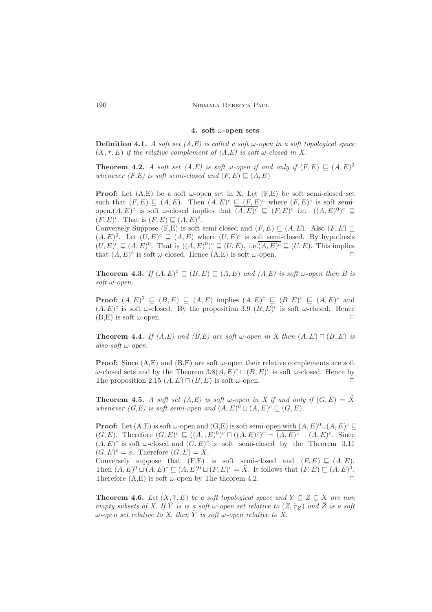#### 4. soft  $\omega$ -open sets

<span id="page-7-0"></span>**Definition 4.1.** A soft set  $(A, E)$  is called a soft  $\omega$ -open in a soft topological space  $(X, \tilde{\tau}, E)$  if the relative complement of  $(A, E)$  is soft w-closed in X.

**Theorem 4.2.** A soft set  $(A, E)$  is soft  $\omega$ -open if and only if  $(F, E) \subseteq (A, E)^0$ whenever  $(F,E)$  is soft semi-closed and  $(F, E) \sqsubset (A, E)$ 

**Proof:** Let  $(A, E)$  be a soft  $\omega$ -open set in X. Let  $(F, E)$  be soft semi-closed set such that  $(F, E) \subseteq (A, E)$ . Then  $(A, E)^c \subseteq (F, E)^c$  where  $(F, E)^c$  is soft semiopen. $(A, E)^c$  is soft  $\omega$ -closed implies that  $\overline{(A, E)^c} \subseteq (F, E)^c$  i.e.  $((A, E)^0)^c \subseteq$  $(F, E)^c$ . That is  $(F, E) \sqsubseteq (A, E)^0$ .

Conversely Suppose (F,E) is soft semi-closed and  $(F, E) \sqsubseteq (A, E)$ . Also  $(F, E) \sqsubseteq$  $(A, E)^0$ . Let  $(U, E)^c \subseteq (A, E)$  where  $(U, E)^c$  is soft semi-closed. By hypothesis  $(U, E)^c \sqsubseteq (A, E)^0$ . That is  $((A, E)^0)^c \sqsubseteq (U, E)$ . i.e.  $\overline{(A, E)^c} \sqsubseteq (U, E)$ . This implies that  $(A, E)^c$  is soft  $\omega$ -closed. Hence  $(A, E)$  is soft  $\omega$ -open.

**Theorem 4.3.** If  $(A, E)^0 \subseteq (B, E) \subseteq (A, E)$  and  $(A, E)$  is soft w-open then B is soft ω-open.

**Proof:**  $(A, E)^0 \subseteq (B, E) \subseteq (A, E)$  implies  $(A, E)^c \subseteq (B, E)^c \subseteq (A, E)^c$  and  $(A, E)^c$  is soft w-closed. By the proposition 3.9  $(B, E)^c$  is soft w-closed. Hence  $(B,E)$  is soft  $\omega$ -open.

**Theorem 4.4.** If  $(A, E)$  and  $(B, E)$  are soft  $\omega$ -open in X then  $(A, E) \sqcap (B, E)$  is also soft ω-open.

**Proof:** Since  $(A, E)$  and  $(B, E)$  are soft  $\omega$ -open their relative complements are soft  $ω$ -closed sets and by the Theorem 3.8( $A, E$ )<sup>c</sup>  $□$  ( $B, E$ )<sup>c</sup> is soft  $ω$ -closed. Hence by The proposition 2.15  $(A, E) \sqcap (B, E)$  is soft  $\omega$ -open.

**Theorem 4.5.** A soft set  $(A, E)$  is soft w-open in X if and only if  $(G, E) = \tilde{X}$ whenever  $(G, E)$  is soft semi-open and  $(A, E)^{\hat{0}} \sqcup (A, E)^c \sqsubseteq (G, E)$ .

**Proof:** Let  $(A, E)$  is soft  $\omega$ -open and  $(G, E)$  is soft semi-open with  $(A, E)^0 \sqcup (A, E)^c \sqsubseteq$  $(G, E)$ . Therefore  $(G, E)^c \subseteq ((A, E)^0)^c \cap ((A, E)^c)^c = \overline{(A, E)^c} - (A, E)^c$ . Since  $(A, E)^c$  is soft  $\omega$ -closed and  $(G, E)^c$  is soft semi-closed by the Theorem 3.11  $(G, E)^c = \tilde{\phi}$ . Therefore  $(G, E) = \tilde{X}$ .

Conversely suppose that  $(F, E)$  is soft semi-closed and  $(F, E) \sqsubseteq (A, E)$ . Then  $(A, E)^0 \sqcup (A, E)^c \sqsubseteq (A, E)^0 \sqcup (F, E)^c = \tilde{X}$ . It follows that  $(F, E) \sqsubseteq (A, E)^0$ . Therefore  $(A, E)$  is soft  $\omega$ -open by The theorem 4.2.

**Theorem 4.6.** Let  $(X, \tilde{\tau}, E)$  be a soft topological space and  $Y \subseteq Z \subseteq X$  are non empty subsets of X. If  $\tilde{Y}$  is is a soft  $\omega$ -open set relative to  $(Z, \tilde{\tau}_Z)$  and  $\tilde{Z}$  is a soft ω-open set relative to X, then  $\tilde{Y}$  is soft ω-open relative to X.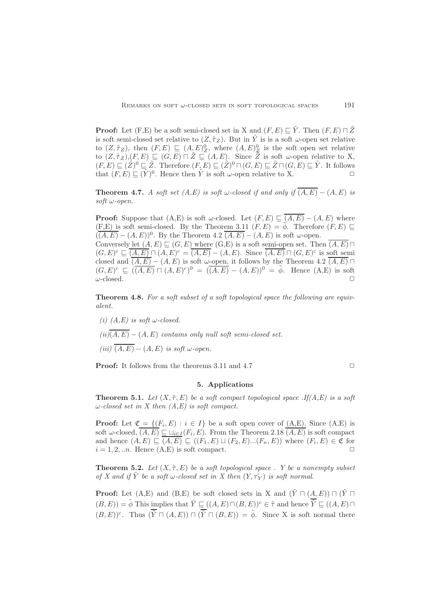**Proof:** Let  $(F, E)$  be a soft semi-closed set in X and  $(F, E) \sqsubseteq \tilde{Y}$ . Then  $(F, E) \sqcap \tilde{Z}$ is soft semi-closed set relative to  $(Z, \tilde{\tau}_Z)$ . But in  $\tilde{Y}$  is is a soft  $\omega$ -open set relative to  $(Z, \tilde{\tau}_Z)$ , then  $(F, E) \subseteq (A, E)_Z^0$ , where  $(A, E)_Z^0$  is the soft open set relative to  $(Z, \tilde{\tau}_Z), (F, E) \sqsubseteq (G, E) \cap \tilde{Z} \sqsubseteq (A, E)$ . Since  $\tilde{Z}$  is soft  $\omega$ -open relative to X,  $(F, E) \sqsubseteq (\tilde{Z})^0 \sqsubseteq \tilde{Z}$ . Therefore  $(F, E) \sqsubseteq (\tilde{Z})^0 \sqcap (G, E) \sqsubseteq \tilde{Z} \sqcap (G, E) \sqsubseteq \tilde{Y}$ . It follows that  $(F, E) \subseteq (\tilde{Y})^0$ . Hence then  $\tilde{Y}$  is soft  $\omega$ -open relative to X.

**Theorem 4.7.** A soft set  $(A, E)$  is soft w-closed if and only if  $\overline{(A, E)} - (A, E)$  is soft  $\omega$ -open.

**Proof:** Suppose that  $(A, E)$  is soft  $\omega$ -closed. Let  $(F, E) \subseteq \overline{(A, E)} - (A, E)$  where (F,E) is soft semi-closed. By the Theorem 3.11  $(F, E) = \phi$ . Therefore  $(F, E) \square$  $(\overline{(A,E)} - (A,E))^0$ . By the Theorem 4.2  $\overline{(A,E)} - (A,E)$  is soft  $\omega$ -open. Conversely let  $(A, E) \sqsubset (G, E)$  where  $(G, E)$  is a soft semi-open set. Then  $\overline{(A, E)} \sqcap$  $(G, E)^c \subseteq \overline{(A, E)} \sqcap (A, E)^c = \overline{(A, E)} - (A, E)$ . Since  $\overline{(A, E)} \sqcap (G, E)^c$  is soft semi closed and  $\overline{(A, E)} - (A, E)$  is soft  $\omega$ -open, it follows by the Theorem 4.2  $\overline{(A, E)}$   $\Box$  $(G, E)^c \sqsubseteq ((\overline{A, E}) \sqcap (A, E)^c)^0 = ((\overline{A, E}) - (A, E))^0 = \tilde{\phi}$ . Hence  $(A, E)$  is soft  $\omega$ -closed.  $\square$ 

Theorem 4.8. For a soft subset of a soft topological space the following are equivalent.

(i)  $(A, E)$  is soft w-closed.

 $(ii)(\overline{A,E})$  –  $(A,E)$  contains only null soft semi-closed set.

(iii)  $\overline{(A, E)} - (A, E)$  is soft  $\omega$ -open.

<span id="page-8-0"></span>**Proof:** It follows from the theorems 3.11 and 4.7  $\Box$ 

### 5. Applications

**Theorem 5.1.** Let  $(X, \tilde{\tau}, E)$  be a soft compact topological space .If(A,E) is a soft  $\omega$ -closed set in X then  $(A, E)$  is soft compact.

**Proof:** Let  $\mathfrak{C} = \{(F_i, E) : i \in I\}$  be a soft open cover of  $(A, E)$ . Since  $(A, E)$  is soft  $\omega$ -closed,  $(A, E) \sqsubseteq \sqcup_{i \in I} (F_i, E)$ . From the Theorem 2.18  $(A, E)$  is soft compact and hence  $(A, E) \subseteq (A, E) \subseteq ((F_1, E) \sqcup (F_2, E) \dots (F_n, E))$  where  $(F_i, E) \in \mathfrak{C}$  for  $i = 1, 2, \ldots n$ . Hence  $(A, E)$  is soft compact.

**Theorem 5.2.** Let  $(X, \tilde{\tau}, E)$  be a soft topological space. Y be a nonempty subset of X and if Y be a soft w-closed set in X then  $(Y, \tilde{\tau_Y})$  is soft normal.

**Proof:** Let  $(A, E)$  and  $(B, E)$  be soft closed sets in X and  $(\tilde{Y} \sqcap (A, E)) \sqcap (\tilde{Y} \sqcap$  $(B, E)) = \tilde{\phi}$  This implies that  $\tilde{Y} \sqsubseteq ((A, E) \sqcap (B, E))^c \in \tilde{\tau}$  and hence  $\overline{\tilde{Y}} \sqsubseteq ((A, E) \sqcap$  $(B, E)^c$ . Thus  $(\overline{\tilde{Y}} \sqcap (A, E)) \sqcap (\overline{\tilde{Y}} \sqcap (B, E)) = \tilde{\phi}$ . Since X is soft normal there